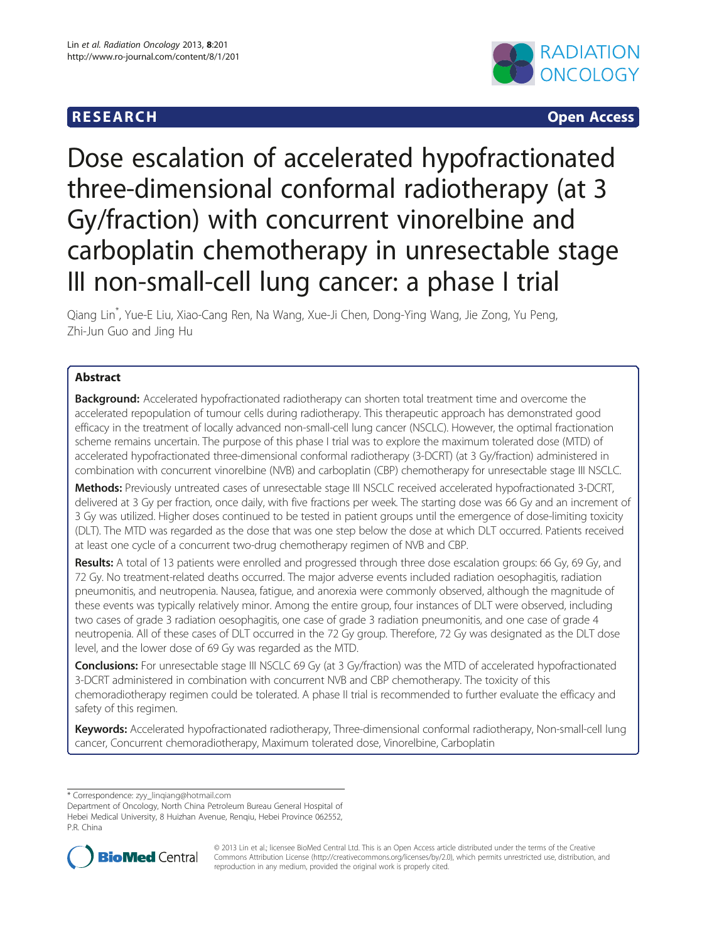# R E S EAR CH Open Access



# Dose escalation of accelerated hypofractionated three-dimensional conformal radiotherapy (at 3 Gy/fraction) with concurrent vinorelbine and carboplatin chemotherapy in unresectable stage III non-small-cell lung cancer: a phase I trial

Qiang Lin\* , Yue-E Liu, Xiao-Cang Ren, Na Wang, Xue-Ji Chen, Dong-Ying Wang, Jie Zong, Yu Peng, Zhi-Jun Guo and Jing Hu

# Abstract

Background: Accelerated hypofractionated radiotherapy can shorten total treatment time and overcome the accelerated repopulation of tumour cells during radiotherapy. This therapeutic approach has demonstrated good efficacy in the treatment of locally advanced non-small-cell lung cancer (NSCLC). However, the optimal fractionation scheme remains uncertain. The purpose of this phase I trial was to explore the maximum tolerated dose (MTD) of accelerated hypofractionated three-dimensional conformal radiotherapy (3-DCRT) (at 3 Gy/fraction) administered in combination with concurrent vinorelbine (NVB) and carboplatin (CBP) chemotherapy for unresectable stage III NSCLC.

Methods: Previously untreated cases of unresectable stage III NSCLC received accelerated hypofractionated 3-DCRT, delivered at 3 Gy per fraction, once daily, with five fractions per week. The starting dose was 66 Gy and an increment of 3 Gy was utilized. Higher doses continued to be tested in patient groups until the emergence of dose-limiting toxicity (DLT). The MTD was regarded as the dose that was one step below the dose at which DLT occurred. Patients received at least one cycle of a concurrent two-drug chemotherapy regimen of NVB and CBP.

Results: A total of 13 patients were enrolled and progressed through three dose escalation groups: 66 Gy, 69 Gy, and 72 Gy. No treatment-related deaths occurred. The major adverse events included radiation oesophagitis, radiation pneumonitis, and neutropenia. Nausea, fatigue, and anorexia were commonly observed, although the magnitude of these events was typically relatively minor. Among the entire group, four instances of DLT were observed, including two cases of grade 3 radiation oesophagitis, one case of grade 3 radiation pneumonitis, and one case of grade 4 neutropenia. All of these cases of DLT occurred in the 72 Gy group. Therefore, 72 Gy was designated as the DLT dose level, and the lower dose of 69 Gy was regarded as the MTD.

Conclusions: For unresectable stage III NSCLC 69 Gy (at 3 Gy/fraction) was the MTD of accelerated hypofractionated 3-DCRT administered in combination with concurrent NVB and CBP chemotherapy. The toxicity of this chemoradiotherapy regimen could be tolerated. A phase II trial is recommended to further evaluate the efficacy and safety of this regimen.

Keywords: Accelerated hypofractionated radiotherapy, Three-dimensional conformal radiotherapy, Non-small-cell lung cancer, Concurrent chemoradiotherapy, Maximum tolerated dose, Vinorelbine, Carboplatin

\* Correspondence: [zyy\\_linqiang@hotmail.com](mailto:zyy_linqiang@hotmail.com)

Department of Oncology, North China Petroleum Bureau General Hospital of Hebei Medical University, 8 Huizhan Avenue, Renqiu, Hebei Province 062552, P.R. China



© 2013 Lin et al.; licensee BioMed Central Ltd. This is an Open Access article distributed under the terms of the Creative Commons Attribution License [\(http://creativecommons.org/licenses/by/2.0\)](http://creativecommons.org/licenses/by/2.0), which permits unrestricted use, distribution, and reproduction in any medium, provided the original work is properly cited.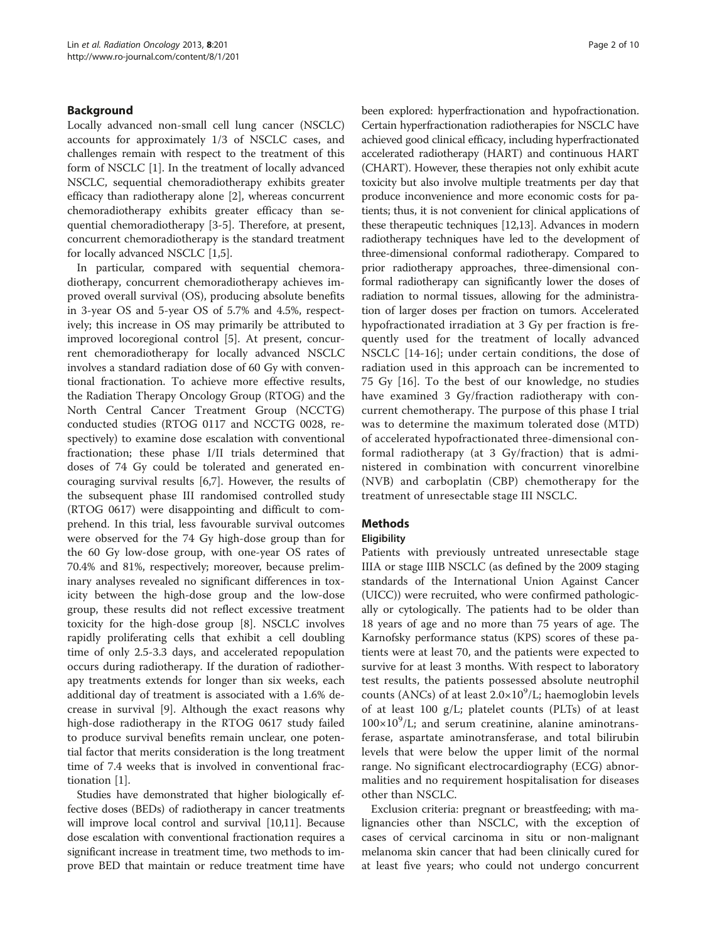# Background

Locally advanced non-small cell lung cancer (NSCLC) accounts for approximately 1/3 of NSCLC cases, and challenges remain with respect to the treatment of this form of NSCLC [\[1](#page-8-0)]. In the treatment of locally advanced NSCLC, sequential chemoradiotherapy exhibits greater efficacy than radiotherapy alone [[2](#page-8-0)], whereas concurrent chemoradiotherapy exhibits greater efficacy than sequential chemoradiotherapy [[3-5](#page-8-0)]. Therefore, at present, concurrent chemoradiotherapy is the standard treatment for locally advanced NSCLC [[1,5\]](#page-8-0).

In particular, compared with sequential chemoradiotherapy, concurrent chemoradiotherapy achieves improved overall survival (OS), producing absolute benefits in 3-year OS and 5-year OS of 5.7% and 4.5%, respectively; this increase in OS may primarily be attributed to improved locoregional control [\[5](#page-8-0)]. At present, concurrent chemoradiotherapy for locally advanced NSCLC involves a standard radiation dose of 60 Gy with conventional fractionation. To achieve more effective results, the Radiation Therapy Oncology Group (RTOG) and the North Central Cancer Treatment Group (NCCTG) conducted studies (RTOG 0117 and NCCTG 0028, respectively) to examine dose escalation with conventional fractionation; these phase I/II trials determined that doses of 74 Gy could be tolerated and generated encouraging survival results [[6,7\]](#page-9-0). However, the results of the subsequent phase III randomised controlled study (RTOG 0617) were disappointing and difficult to comprehend. In this trial, less favourable survival outcomes were observed for the 74 Gy high-dose group than for the 60 Gy low-dose group, with one-year OS rates of 70.4% and 81%, respectively; moreover, because preliminary analyses revealed no significant differences in toxicity between the high-dose group and the low-dose group, these results did not reflect excessive treatment toxicity for the high-dose group [\[8](#page-9-0)]. NSCLC involves rapidly proliferating cells that exhibit a cell doubling time of only 2.5-3.3 days, and accelerated repopulation occurs during radiotherapy. If the duration of radiotherapy treatments extends for longer than six weeks, each additional day of treatment is associated with a 1.6% decrease in survival [\[9\]](#page-9-0). Although the exact reasons why high-dose radiotherapy in the RTOG 0617 study failed to produce survival benefits remain unclear, one potential factor that merits consideration is the long treatment time of 7.4 weeks that is involved in conventional fractionation [[1\]](#page-8-0).

Studies have demonstrated that higher biologically effective doses (BEDs) of radiotherapy in cancer treatments will improve local control and survival [\[10,11\]](#page-9-0). Because dose escalation with conventional fractionation requires a significant increase in treatment time, two methods to improve BED that maintain or reduce treatment time have been explored: hyperfractionation and hypofractionation. Certain hyperfractionation radiotherapies for NSCLC have achieved good clinical efficacy, including hyperfractionated accelerated radiotherapy (HART) and continuous HART (CHART). However, these therapies not only exhibit acute toxicity but also involve multiple treatments per day that produce inconvenience and more economic costs for patients; thus, it is not convenient for clinical applications of these therapeutic techniques [\[12,13\]](#page-9-0). Advances in modern radiotherapy techniques have led to the development of three-dimensional conformal radiotherapy. Compared to prior radiotherapy approaches, three-dimensional conformal radiotherapy can significantly lower the doses of radiation to normal tissues, allowing for the administration of larger doses per fraction on tumors. Accelerated hypofractionated irradiation at 3 Gy per fraction is frequently used for the treatment of locally advanced NSCLC [\[14](#page-9-0)-[16\]](#page-9-0); under certain conditions, the dose of radiation used in this approach can be incremented to 75 Gy [\[16](#page-9-0)]. To the best of our knowledge, no studies have examined 3 Gy/fraction radiotherapy with concurrent chemotherapy. The purpose of this phase I trial was to determine the maximum tolerated dose (MTD) of accelerated hypofractionated three-dimensional conformal radiotherapy (at 3 Gy/fraction) that is administered in combination with concurrent vinorelbine (NVB) and carboplatin (CBP) chemotherapy for the treatment of unresectable stage III NSCLC.

# Methods

# **Eligibility**

Patients with previously untreated unresectable stage IIIA or stage IIIB NSCLC (as defined by the 2009 staging standards of the International Union Against Cancer (UICC)) were recruited, who were confirmed pathologically or cytologically. The patients had to be older than 18 years of age and no more than 75 years of age. The Karnofsky performance status (KPS) scores of these patients were at least 70, and the patients were expected to survive for at least 3 months. With respect to laboratory test results, the patients possessed absolute neutrophil counts (ANCs) of at least  $2.0 \times 10^9$ /L; haemoglobin levels of at least 100 g/L; platelet counts (PLTs) of at least  $100\times10^9$ /L; and serum creatinine, alanine aminotransferase, aspartate aminotransferase, and total bilirubin levels that were below the upper limit of the normal range. No significant electrocardiography (ECG) abnormalities and no requirement hospitalisation for diseases other than NSCLC.

Exclusion criteria: pregnant or breastfeeding; with malignancies other than NSCLC, with the exception of cases of cervical carcinoma in situ or non-malignant melanoma skin cancer that had been clinically cured for at least five years; who could not undergo concurrent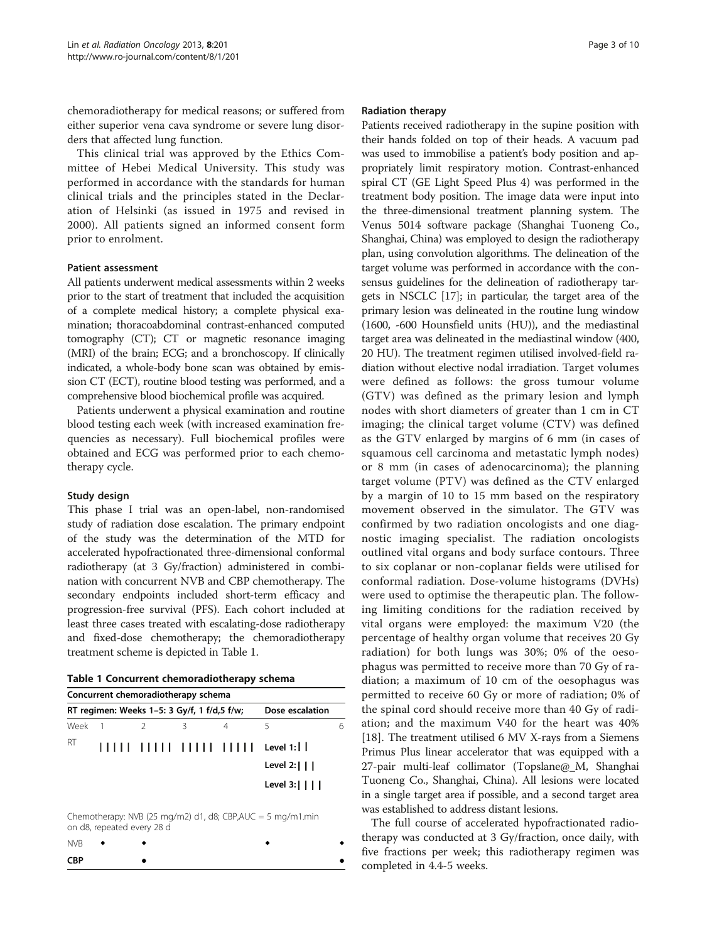chemoradiotherapy for medical reasons; or suffered from either superior vena cava syndrome or severe lung disorders that affected lung function.

This clinical trial was approved by the Ethics Committee of Hebei Medical University. This study was performed in accordance with the standards for human clinical trials and the principles stated in the Declaration of Helsinki (as issued in 1975 and revised in 2000). All patients signed an informed consent form prior to enrolment.

#### Patient assessment

All patients underwent medical assessments within 2 weeks prior to the start of treatment that included the acquisition of a complete medical history; a complete physical examination; thoracoabdominal contrast-enhanced computed tomography (CT); CT or magnetic resonance imaging (MRI) of the brain; ECG; and a bronchoscopy. If clinically indicated, a whole-body bone scan was obtained by emission CT (ECT), routine blood testing was performed, and a comprehensive blood biochemical profile was acquired.

Patients underwent a physical examination and routine blood testing each week (with increased examination frequencies as necessary). Full biochemical profiles were obtained and ECG was performed prior to each chemotherapy cycle.

# Study design

This phase I trial was an open-label, non-randomised study of radiation dose escalation. The primary endpoint of the study was the determination of the MTD for accelerated hypofractionated three-dimensional conformal radiotherapy (at 3 Gy/fraction) administered in combination with concurrent NVB and CBP chemotherapy. The secondary endpoints included short-term efficacy and progression-free survival (PFS). Each cohort included at least three cases treated with escalating-dose radiotherapy and fixed-dose chemotherapy; the chemoradiotherapy treatment scheme is depicted in Table 1.

|  |  | Table 1 Concurrent chemoradiotherapy schema |  |
|--|--|---------------------------------------------|--|
|--|--|---------------------------------------------|--|

| Concurrent chemoradiotherapy schema                            |  |  |   |  |                                |  |
|----------------------------------------------------------------|--|--|---|--|--------------------------------|--|
| RT regimen: Weeks 1-5: 3 Gy/f, 1 f/d,5 f/w;<br>Dose escalation |  |  |   |  |                                |  |
| Week 1                                                         |  |  | २ |  | 5                              |  |
| RT                                                             |  |  |   |  |                                |  |
|                                                                |  |  |   |  | Level 2: $  $                  |  |
|                                                                |  |  |   |  | Level $3:$ $\vert \vert \vert$ |  |

Chemotherapy: NVB (25 mg/m2) d1, d8; CBP, AUC = 5 mg/m1.min on d8, repeated every 28 d

| NVB        | $\bullet$ |  |  |
|------------|-----------|--|--|
| <b>CBP</b> |           |  |  |

#### Radiation therapy

Patients received radiotherapy in the supine position with their hands folded on top of their heads. A vacuum pad was used to immobilise a patient's body position and appropriately limit respiratory motion. Contrast-enhanced spiral CT (GE Light Speed Plus 4) was performed in the treatment body position. The image data were input into the three-dimensional treatment planning system. The Venus 5014 software package (Shanghai Tuoneng Co., Shanghai, China) was employed to design the radiotherapy plan, using convolution algorithms. The delineation of the target volume was performed in accordance with the consensus guidelines for the delineation of radiotherapy targets in NSCLC [[17](#page-9-0)]; in particular, the target area of the primary lesion was delineated in the routine lung window (1600, -600 Hounsfield units (HU)), and the mediastinal target area was delineated in the mediastinal window (400, 20 HU). The treatment regimen utilised involved-field radiation without elective nodal irradiation. Target volumes were defined as follows: the gross tumour volume (GTV) was defined as the primary lesion and lymph nodes with short diameters of greater than 1 cm in CT imaging; the clinical target volume (CTV) was defined as the GTV enlarged by margins of 6 mm (in cases of squamous cell carcinoma and metastatic lymph nodes) or 8 mm (in cases of adenocarcinoma); the planning target volume (PTV) was defined as the CTV enlarged by a margin of 10 to 15 mm based on the respiratory movement observed in the simulator. The GTV was confirmed by two radiation oncologists and one diagnostic imaging specialist. The radiation oncologists outlined vital organs and body surface contours. Three to six coplanar or non-coplanar fields were utilised for conformal radiation. Dose-volume histograms (DVHs) were used to optimise the therapeutic plan. The following limiting conditions for the radiation received by vital organs were employed: the maximum V20 (the percentage of healthy organ volume that receives 20 Gy radiation) for both lungs was 30%; 0% of the oesophagus was permitted to receive more than 70 Gy of radiation; a maximum of 10 cm of the oesophagus was permitted to receive 60 Gy or more of radiation; 0% of the spinal cord should receive more than 40 Gy of radiation; and the maximum V40 for the heart was 40% [[18](#page-9-0)]. The treatment utilised 6 MV X-rays from a Siemens Primus Plus linear accelerator that was equipped with a 27-pair multi-leaf collimator (Topslane@\_M, Shanghai Tuoneng Co., Shanghai, China). All lesions were located in a single target area if possible, and a second target area was established to address distant lesions.

The full course of accelerated hypofractionated radiotherapy was conducted at 3 Gy/fraction, once daily, with five fractions per week; this radiotherapy regimen was completed in 4.4-5 weeks.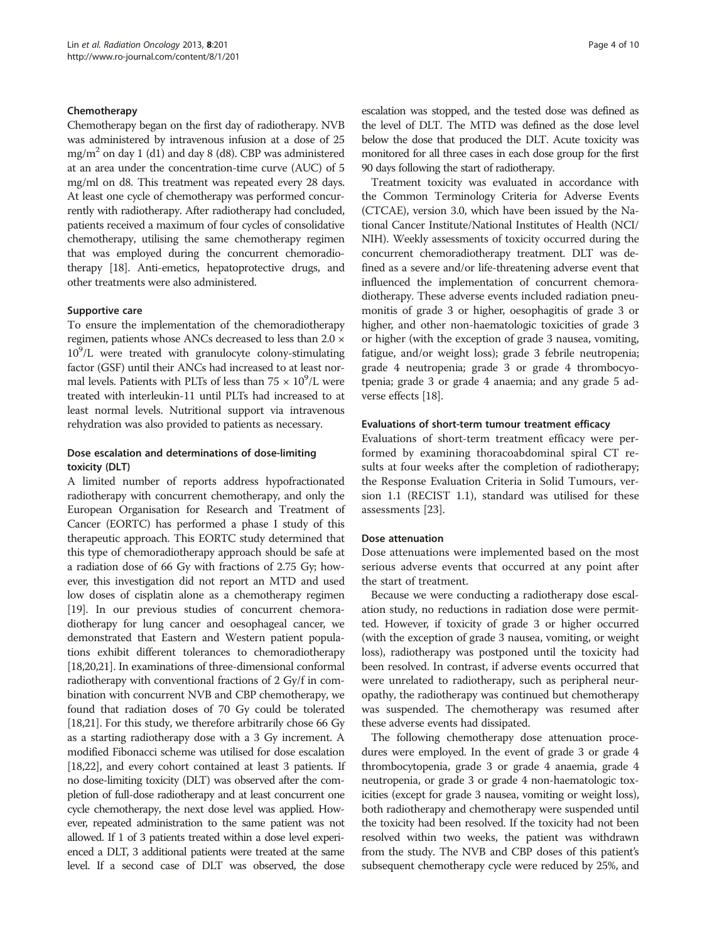#### Chemotherapy

Chemotherapy began on the first day of radiotherapy. NVB was administered by intravenous infusion at a dose of 25 mg/m<sup>2</sup> on day 1 (d1) and day 8 (d8). CBP was administered at an area under the concentration-time curve (AUC) of 5 mg/ml on d8. This treatment was repeated every 28 days. At least one cycle of chemotherapy was performed concurrently with radiotherapy. After radiotherapy had concluded, patients received a maximum of four cycles of consolidative chemotherapy, utilising the same chemotherapy regimen that was employed during the concurrent chemoradiotherapy [\[18\]](#page-9-0). Anti-emetics, hepatoprotective drugs, and other treatments were also administered.

#### Supportive care

To ensure the implementation of the chemoradiotherapy regimen, patients whose ANCs decreased to less than 2.0 ×  $10^9$ /L were treated with granulocyte colony-stimulating factor (GSF) until their ANCs had increased to at least normal levels. Patients with PLTs of less than  $75 \times 10^9$ /L were treated with interleukin-11 until PLTs had increased to at least normal levels. Nutritional support via intravenous rehydration was also provided to patients as necessary.

# Dose escalation and determinations of dose-limiting toxicity (DLT)

A limited number of reports address hypofractionated radiotherapy with concurrent chemotherapy, and only the European Organisation for Research and Treatment of Cancer (EORTC) has performed a phase I study of this therapeutic approach. This EORTC study determined that this type of chemoradiotherapy approach should be safe at a radiation dose of 66 Gy with fractions of 2.75 Gy; however, this investigation did not report an MTD and used low doses of cisplatin alone as a chemotherapy regimen [[19](#page-9-0)]. In our previous studies of concurrent chemoradiotherapy for lung cancer and oesophageal cancer, we demonstrated that Eastern and Western patient populations exhibit different tolerances to chemoradiotherapy [[18,20,21](#page-9-0)]. In examinations of three-dimensional conformal radiotherapy with conventional fractions of 2 Gy/f in combination with concurrent NVB and CBP chemotherapy, we found that radiation doses of 70 Gy could be tolerated  $[18,21]$  $[18,21]$ . For this study, we therefore arbitrarily chose 66 Gy as a starting radiotherapy dose with a 3 Gy increment. A modified Fibonacci scheme was utilised for dose escalation [[18,22\]](#page-9-0), and every cohort contained at least 3 patients. If no dose-limiting toxicity (DLT) was observed after the completion of full-dose radiotherapy and at least concurrent one cycle chemotherapy, the next dose level was applied. However, repeated administration to the same patient was not allowed. If 1 of 3 patients treated within a dose level experienced a DLT, 3 additional patients were treated at the same level. If a second case of DLT was observed, the dose escalation was stopped, and the tested dose was defined as the level of DLT. The MTD was defined as the dose level below the dose that produced the DLT. Acute toxicity was monitored for all three cases in each dose group for the first 90 days following the start of radiotherapy.

Treatment toxicity was evaluated in accordance with the Common Terminology Criteria for Adverse Events (CTCAE), version 3.0, which have been issued by the National Cancer Institute/National Institutes of Health (NCI/ NIH). Weekly assessments of toxicity occurred during the concurrent chemoradiotherapy treatment. DLT was defined as a severe and/or life-threatening adverse event that influenced the implementation of concurrent chemoradiotherapy. These adverse events included radiation pneumonitis of grade 3 or higher, oesophagitis of grade 3 or higher, and other non-haematologic toxicities of grade 3 or higher (with the exception of grade 3 nausea, vomiting, fatigue, and/or weight loss); grade 3 febrile neutropenia; grade 4 neutropenia; grade 3 or grade 4 thrombocyotpenia; grade 3 or grade 4 anaemia; and any grade 5 adverse effects [[18](#page-9-0)].

#### Evaluations of short-term tumour treatment efficacy

Evaluations of short-term treatment efficacy were performed by examining thoracoabdominal spiral CT results at four weeks after the completion of radiotherapy; the Response Evaluation Criteria in Solid Tumours, version 1.1 (RECIST 1.1), standard was utilised for these assessments [[23\]](#page-9-0).

#### Dose attenuation

Dose attenuations were implemented based on the most serious adverse events that occurred at any point after the start of treatment.

Because we were conducting a radiotherapy dose escalation study, no reductions in radiation dose were permitted. However, if toxicity of grade 3 or higher occurred (with the exception of grade 3 nausea, vomiting, or weight loss), radiotherapy was postponed until the toxicity had been resolved. In contrast, if adverse events occurred that were unrelated to radiotherapy, such as peripheral neuropathy, the radiotherapy was continued but chemotherapy was suspended. The chemotherapy was resumed after these adverse events had dissipated.

The following chemotherapy dose attenuation procedures were employed. In the event of grade 3 or grade 4 thrombocytopenia, grade 3 or grade 4 anaemia, grade 4 neutropenia, or grade 3 or grade 4 non-haematologic toxicities (except for grade 3 nausea, vomiting or weight loss), both radiotherapy and chemotherapy were suspended until the toxicity had been resolved. If the toxicity had not been resolved within two weeks, the patient was withdrawn from the study. The NVB and CBP doses of this patient's subsequent chemotherapy cycle were reduced by 25%, and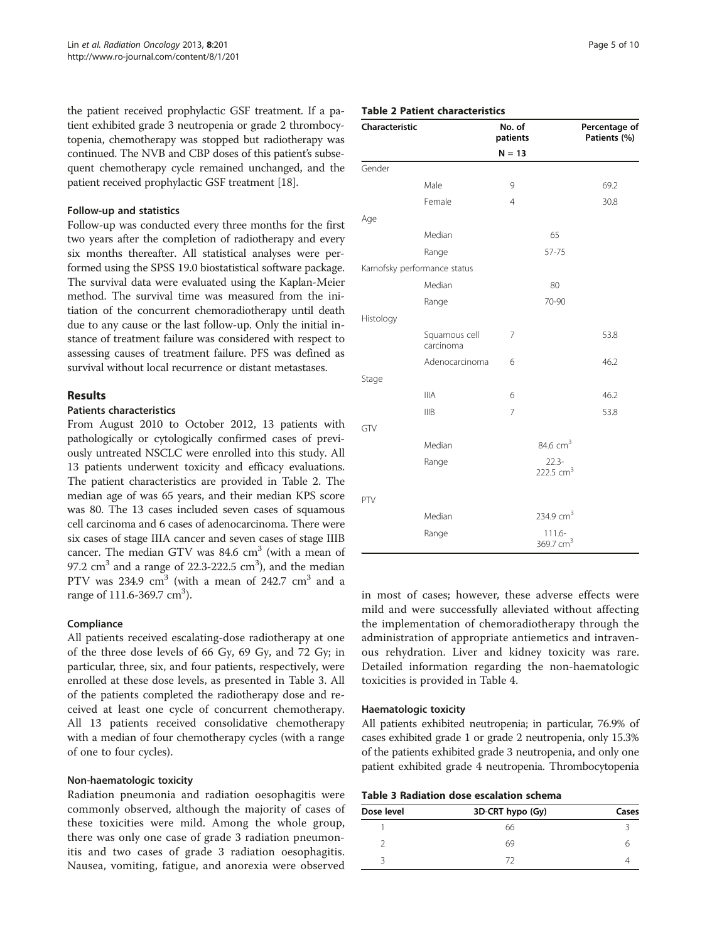the patient received prophylactic GSF treatment. If a patient exhibited grade 3 neutropenia or grade 2 thrombocytopenia, chemotherapy was stopped but radiotherapy was continued. The NVB and CBP doses of this patient's subsequent chemotherapy cycle remained unchanged, and the patient received prophylactic GSF treatment [[18](#page-9-0)].

#### Follow-up and statistics

Follow-up was conducted every three months for the first two years after the completion of radiotherapy and every six months thereafter. All statistical analyses were performed using the SPSS 19.0 biostatistical software package. The survival data were evaluated using the Kaplan-Meier method. The survival time was measured from the initiation of the concurrent chemoradiotherapy until death due to any cause or the last follow-up. Only the initial instance of treatment failure was considered with respect to assessing causes of treatment failure. PFS was defined as survival without local recurrence or distant metastases.

# Results

# Patients characteristics

From August 2010 to October 2012, 13 patients with pathologically or cytologically confirmed cases of previously untreated NSCLC were enrolled into this study. All 13 patients underwent toxicity and efficacy evaluations. The patient characteristics are provided in Table 2. The median age of was 65 years, and their median KPS score was 80. The 13 cases included seven cases of squamous cell carcinoma and 6 cases of adenocarcinoma. There were six cases of stage IIIA cancer and seven cases of stage IIIB cancer. The median GTV was  $84.6 \text{ cm}^3$  (with a mean of 97.2  $\text{cm}^3$  and a range of 22.3-222.5  $\text{cm}^3$ ), and the median PTV was  $234.9 \text{ cm}^3$  (with a mean of  $242.7 \text{ cm}^3$  and a range of 111.6-369.7 cm<sup>3</sup>).

# Compliance

All patients received escalating-dose radiotherapy at one of the three dose levels of 66 Gy, 69 Gy, and 72 Gy; in particular, three, six, and four patients, respectively, were enrolled at these dose levels, as presented in Table 3. All of the patients completed the radiotherapy dose and received at least one cycle of concurrent chemotherapy. All 13 patients received consolidative chemotherapy with a median of four chemotherapy cycles (with a range of one to four cycles).

#### Non-haematologic toxicity

Radiation pneumonia and radiation oesophagitis were commonly observed, although the majority of cases of these toxicities were mild. Among the whole group, there was only one case of grade 3 radiation pneumonitis and two cases of grade 3 radiation oesophagitis. Nausea, vomiting, fatigue, and anorexia were observed

# Table 2 Patient characteristics

| Characteristic               |                            | No. of<br>patients |                                    | Percentage of<br>Patients (%) |
|------------------------------|----------------------------|--------------------|------------------------------------|-------------------------------|
|                              |                            | $N = 13$           |                                    |                               |
| Gender                       |                            |                    |                                    |                               |
|                              | Male                       | 9                  |                                    | 69.2                          |
|                              | Female                     | $\overline{4}$     |                                    | 30.8                          |
| Age                          |                            |                    |                                    |                               |
|                              | Median                     |                    | 65                                 |                               |
|                              | Range                      |                    | 57-75                              |                               |
| Karnofsky performance status |                            |                    |                                    |                               |
|                              | Median                     |                    | 80                                 |                               |
|                              | Range                      |                    | 70-90                              |                               |
| Histology                    |                            |                    |                                    |                               |
|                              | Squamous cell<br>carcinoma | 7                  |                                    | 53.8                          |
|                              | Adenocarcinoma             | 6                  |                                    | 46.2                          |
| Stage                        |                            |                    |                                    |                               |
|                              | <b>IIIA</b>                | 6                  |                                    | 46.2                          |
|                              | <b>IIIB</b>                | 7                  |                                    | 53.8                          |
| GTV                          |                            |                    |                                    |                               |
|                              | Median                     |                    | 84.6 $cm3$                         |                               |
|                              | Range                      |                    | $22.3-$<br>222.5 cm <sup>3</sup>   |                               |
| PTV                          |                            |                    |                                    |                               |
|                              | Median                     |                    | 234.9 $cm3$                        |                               |
|                              | Range                      |                    | $111.6 -$<br>369.7 cm <sup>3</sup> |                               |

in most of cases; however, these adverse effects were mild and were successfully alleviated without affecting the implementation of chemoradiotherapy through the administration of appropriate antiemetics and intravenous rehydration. Liver and kidney toxicity was rare. Detailed information regarding the non-haematologic toxicities is provided in Table [4](#page-5-0).

#### Haematologic toxicity

All patients exhibited neutropenia; in particular, 76.9% of cases exhibited grade 1 or grade 2 neutropenia, only 15.3% of the patients exhibited grade 3 neutropenia, and only one patient exhibited grade 4 neutropenia. Thrombocytopenia

|  |  |  | Table 3 Radiation dose escalation schema |  |
|--|--|--|------------------------------------------|--|
|--|--|--|------------------------------------------|--|

| Dose level | 3D-CRT hypo (Gy)             | Cases |  |
|------------|------------------------------|-------|--|
|            | 66                           |       |  |
|            | 69                           |       |  |
|            | $\left( \frac{1}{2} \right)$ |       |  |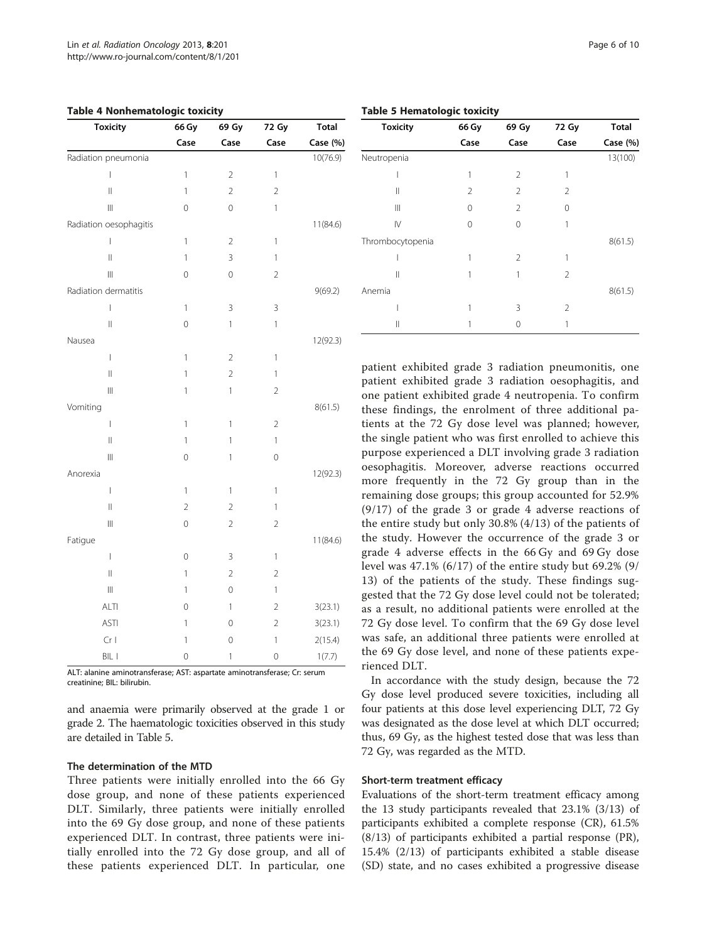| <b>Toxicity</b>                                                           | 66 Gy          | 69 Gy          | 72 Gy          | <b>Total</b> |
|---------------------------------------------------------------------------|----------------|----------------|----------------|--------------|
|                                                                           | Case           | Case           | Case           | Case (%)     |
| Radiation pneumonia                                                       |                |                |                | 10(76.9)     |
| $\overline{1}$                                                            | 1              | $\overline{2}$ | $\mathbf{1}$   |              |
| $\label{eq:1} \prod_{i=1}^n \left\{ \prod_{i=1}^n \frac{1}{n_i} \right\}$ | $\mathbf{1}$   | $\overline{2}$ | $\overline{2}$ |              |
| $\begin{array}{c} \hline \end{array}$                                     | 0              | 0              | $\mathbf{1}$   |              |
| Radiation oesophagitis                                                    |                |                |                | 11(84.6)     |
| $\overline{1}$                                                            | $\mathbf{1}$   | $\overline{c}$ | $\mathbf{1}$   |              |
| $\label{eq:1} \ $                                                         | 1              | 3              | 1              |              |
| $\begin{array}{c} \hline \end{array}$                                     | $\mathbf 0$    | 0              | $\overline{2}$ |              |
| Radiation dermatitis                                                      |                |                |                | 9(69.2)      |
| $\overline{1}$                                                            | $\mathbf{1}$   | 3              | 3              |              |
| $\mathsf{II}$                                                             | 0              | $\mathbf{1}$   | 1              |              |
| Nausea                                                                    |                |                |                | 12(92.3)     |
| $\overline{1}$                                                            | 1              | 2              | $\mathbf{1}$   |              |
| $\parallel$                                                               | 1              | $\overline{c}$ | 1              |              |
| $\left\vert \right\vert \right\vert$                                      | $\mathbf{1}$   | $\mathbf{1}$   | $\overline{2}$ |              |
| Vomiting                                                                  |                |                |                | 8(61.5)      |
| $\begin{array}{c} \end{array}$                                            | $\mathbf{1}$   | 1              | $\overline{2}$ |              |
| $\parallel$                                                               | 1              | 1              | 1              |              |
| $\begin{array}{c} \hline \end{array}$                                     | 0              | $\mathbf{1}$   | 0              |              |
| Anorexia                                                                  |                |                |                | 12(92.3)     |
| $\overline{1}$                                                            | 1              | 1              | $\mathbf{1}$   |              |
| $\parallel$                                                               | $\overline{2}$ | $\overline{2}$ | 1              |              |
| $\left\vert \right\vert \right\vert$                                      | $\mathbf 0$    | $\overline{a}$ | $\overline{2}$ |              |
| Fatigue                                                                   |                |                |                | 11(84.6)     |
| $\overline{1}$                                                            | $\mathbf{0}$   | 3              | $\mathbf{1}$   |              |
| $\label{eq:1} \ $                                                         | 1              | $\overline{c}$ | $\overline{2}$ |              |
| $\begin{array}{c} \hline \end{array}$                                     | 1              | 0              | 1              |              |
| <b>ALTI</b>                                                               | $\mathbf{0}$   | $\mathbf{1}$   | $\overline{2}$ | 3(23.1)      |
| ASTI                                                                      | 1              | 0              | $\overline{2}$ | 3(23.1)      |
| $Cr$                                                                      | 1              | 0              | $\mathbf{1}$   | 2(15.4)      |
| BIL I                                                                     | $\circ$        | $\mathbf{1}$   | $\mathbf 0$    | 1(7.7)       |

<span id="page-5-0"></span>Table 4 Nonhematologic toxicity

ALT: alanine aminotransferase; AST: aspartate aminotransferase; Cr: serum creatinine; BIL: bilirubin.

and anaemia were primarily observed at the grade 1 or grade 2. The haematologic toxicities observed in this study are detailed in Table 5.

# The determination of the MTD

Three patients were initially enrolled into the 66 Gy dose group, and none of these patients experienced DLT. Similarly, three patients were initially enrolled into the 69 Gy dose group, and none of these patients experienced DLT. In contrast, three patients were initially enrolled into the 72 Gy dose group, and all of these patients experienced DLT. In particular, one

Toxicity 66 Gy 69 Gy 72 Gy Total Case Case Case Case (%) Neutropenia 13(100)  $1$  1 2 1 II  $2$   $2$   $2$  $\begin{array}{ccc} \text{III} & & \text{O} & \text{2} & \text{O} \end{array}$ IV 0 0 1 Thrombocytopenia 8(61.5)  $1$  1 2 1  $\begin{array}{ccc} \n\text{II} & \text{I} & \text{I} & \text{2} \\
\end{array}$ Anemia 8(61.5)  $1$  3 2  $\begin{array}{ccc} \n\text{II} & \text{I} & \text{O} & \text{I} \\
\end{array}$ 

patient exhibited grade 3 radiation pneumonitis, one patient exhibited grade 3 radiation oesophagitis, and one patient exhibited grade 4 neutropenia. To confirm these findings, the enrolment of three additional patients at the 72 Gy dose level was planned; however, the single patient who was first enrolled to achieve this purpose experienced a DLT involving grade 3 radiation oesophagitis. Moreover, adverse reactions occurred more frequently in the 72 Gy group than in the remaining dose groups; this group accounted for 52.9% (9/17) of the grade 3 or grade 4 adverse reactions of the entire study but only 30.8% (4/13) of the patients of the study. However the occurrence of the grade 3 or grade 4 adverse effects in the 66 Gy and 69 Gy dose level was 47.1% (6/17) of the entire study but 69.2% (9/ 13) of the patients of the study. These findings suggested that the 72 Gy dose level could not be tolerated; as a result, no additional patients were enrolled at the 72 Gy dose level. To confirm that the 69 Gy dose level was safe, an additional three patients were enrolled at the 69 Gy dose level, and none of these patients experienced DLT.

In accordance with the study design, because the 72 Gy dose level produced severe toxicities, including all four patients at this dose level experiencing DLT, 72 Gy was designated as the dose level at which DLT occurred; thus, 69 Gy, as the highest tested dose that was less than 72 Gy, was regarded as the MTD.

#### Short-term treatment efficacy

Evaluations of the short-term treatment efficacy among the 13 study participants revealed that 23.1% (3/13) of participants exhibited a complete response (CR), 61.5% (8/13) of participants exhibited a partial response (PR), 15.4% (2/13) of participants exhibited a stable disease (SD) state, and no cases exhibited a progressive disease

#### Table 5 Hematologic toxicity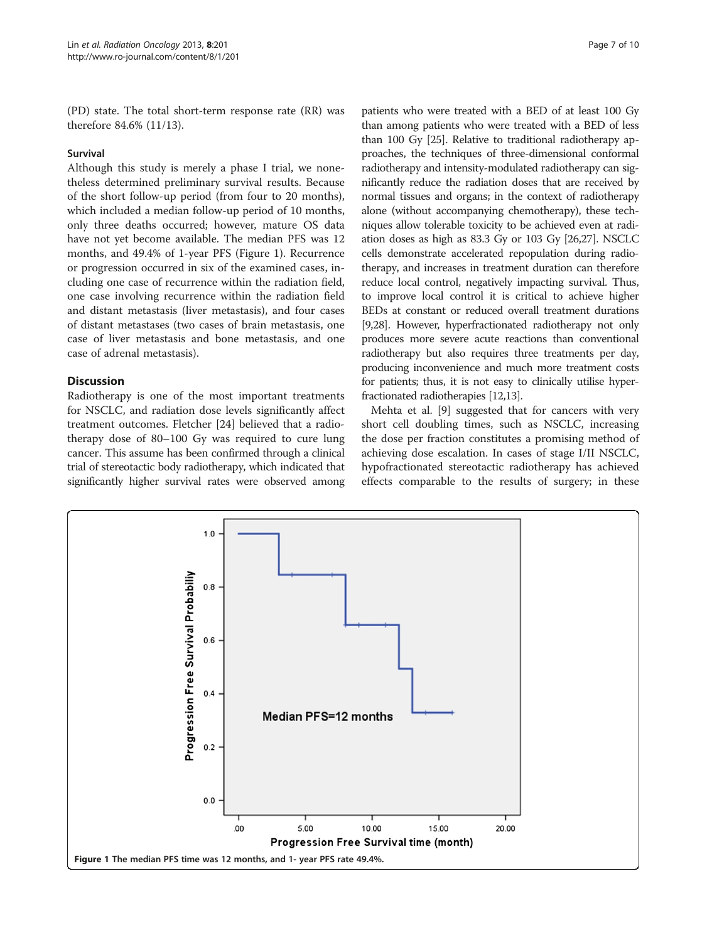(PD) state. The total short-term response rate (RR) was therefore 84.6% (11/13).

#### Survival

Although this study is merely a phase I trial, we nonetheless determined preliminary survival results. Because of the short follow-up period (from four to 20 months), which included a median follow-up period of 10 months, only three deaths occurred; however, mature OS data have not yet become available. The median PFS was 12 months, and 49.4% of 1-year PFS (Figure 1). Recurrence or progression occurred in six of the examined cases, including one case of recurrence within the radiation field, one case involving recurrence within the radiation field and distant metastasis (liver metastasis), and four cases of distant metastases (two cases of brain metastasis, one case of liver metastasis and bone metastasis, and one case of adrenal metastasis).

# Discussion

Radiotherapy is one of the most important treatments for NSCLC, and radiation dose levels significantly affect treatment outcomes. Fletcher [\[24\]](#page-9-0) believed that a radiotherapy dose of 80–100 Gy was required to cure lung cancer. This assume has been confirmed through a clinical trial of stereotactic body radiotherapy, which indicated that significantly higher survival rates were observed among

patients who were treated with a BED of at least 100 Gy than among patients who were treated with a BED of less than 100 Gy [[25](#page-9-0)]. Relative to traditional radiotherapy approaches, the techniques of three-dimensional conformal radiotherapy and intensity-modulated radiotherapy can significantly reduce the radiation doses that are received by normal tissues and organs; in the context of radiotherapy alone (without accompanying chemotherapy), these techniques allow tolerable toxicity to be achieved even at radiation doses as high as 83.3 Gy or 103 Gy [\[26,27](#page-9-0)]. NSCLC cells demonstrate accelerated repopulation during radiotherapy, and increases in treatment duration can therefore reduce local control, negatively impacting survival. Thus, to improve local control it is critical to achieve higher BEDs at constant or reduced overall treatment durations [[9,28\]](#page-9-0). However, hyperfractionated radiotherapy not only produces more severe acute reactions than conventional radiotherapy but also requires three treatments per day, producing inconvenience and much more treatment costs for patients; thus, it is not easy to clinically utilise hyperfractionated radiotherapies [[12,13\]](#page-9-0).

Mehta et al. [[9\]](#page-9-0) suggested that for cancers with very short cell doubling times, such as NSCLC, increasing the dose per fraction constitutes a promising method of achieving dose escalation. In cases of stage I/II NSCLC, hypofractionated stereotactic radiotherapy has achieved effects comparable to the results of surgery; in these

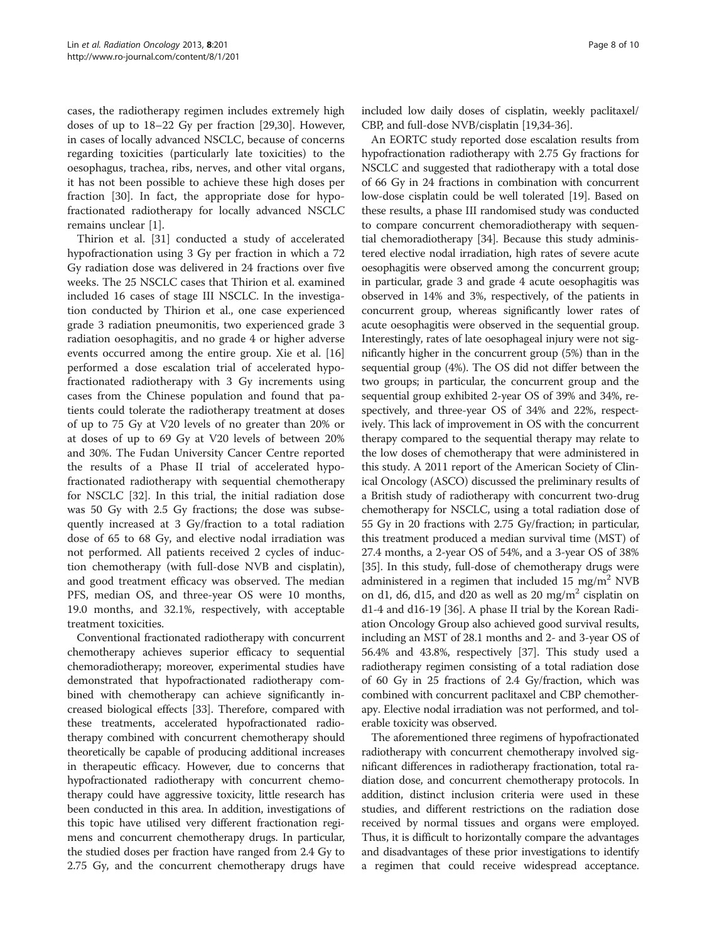cases, the radiotherapy regimen includes extremely high doses of up to 18–22 Gy per fraction [[29](#page-9-0),[30](#page-9-0)]. However, in cases of locally advanced NSCLC, because of concerns regarding toxicities (particularly late toxicities) to the oesophagus, trachea, ribs, nerves, and other vital organs, it has not been possible to achieve these high doses per fraction [[30\]](#page-9-0). In fact, the appropriate dose for hypofractionated radiotherapy for locally advanced NSCLC remains unclear [\[1](#page-8-0)].

Thirion et al. [\[31](#page-9-0)] conducted a study of accelerated hypofractionation using 3 Gy per fraction in which a 72 Gy radiation dose was delivered in 24 fractions over five weeks. The 25 NSCLC cases that Thirion et al. examined included 16 cases of stage III NSCLC. In the investigation conducted by Thirion et al., one case experienced grade 3 radiation pneumonitis, two experienced grade 3 radiation oesophagitis, and no grade 4 or higher adverse events occurred among the entire group. Xie et al. [[16](#page-9-0)] performed a dose escalation trial of accelerated hypofractionated radiotherapy with 3 Gy increments using cases from the Chinese population and found that patients could tolerate the radiotherapy treatment at doses of up to 75 Gy at V20 levels of no greater than 20% or at doses of up to 69 Gy at V20 levels of between 20% and 30%. The Fudan University Cancer Centre reported the results of a Phase II trial of accelerated hypofractionated radiotherapy with sequential chemotherapy for NSCLC [[32](#page-9-0)]. In this trial, the initial radiation dose was 50 Gy with 2.5 Gy fractions; the dose was subsequently increased at 3 Gy/fraction to a total radiation dose of 65 to 68 Gy, and elective nodal irradiation was not performed. All patients received 2 cycles of induction chemotherapy (with full-dose NVB and cisplatin), and good treatment efficacy was observed. The median PFS, median OS, and three-year OS were 10 months, 19.0 months, and 32.1%, respectively, with acceptable treatment toxicities.

Conventional fractionated radiotherapy with concurrent chemotherapy achieves superior efficacy to sequential chemoradiotherapy; moreover, experimental studies have demonstrated that hypofractionated radiotherapy combined with chemotherapy can achieve significantly increased biological effects [\[33\]](#page-9-0). Therefore, compared with these treatments, accelerated hypofractionated radiotherapy combined with concurrent chemotherapy should theoretically be capable of producing additional increases in therapeutic efficacy. However, due to concerns that hypofractionated radiotherapy with concurrent chemotherapy could have aggressive toxicity, little research has been conducted in this area. In addition, investigations of this topic have utilised very different fractionation regimens and concurrent chemotherapy drugs. In particular, the studied doses per fraction have ranged from 2.4 Gy to 2.75 Gy, and the concurrent chemotherapy drugs have included low daily doses of cisplatin, weekly paclitaxel/ CBP, and full-dose NVB/cisplatin [[19,34](#page-9-0)-[36](#page-9-0)].

An EORTC study reported dose escalation results from hypofractionation radiotherapy with 2.75 Gy fractions for NSCLC and suggested that radiotherapy with a total dose of 66 Gy in 24 fractions in combination with concurrent low-dose cisplatin could be well tolerated [\[19](#page-9-0)]. Based on these results, a phase III randomised study was conducted to compare concurrent chemoradiotherapy with sequential chemoradiotherapy [\[34\]](#page-9-0). Because this study administered elective nodal irradiation, high rates of severe acute oesophagitis were observed among the concurrent group; in particular, grade 3 and grade 4 acute oesophagitis was observed in 14% and 3%, respectively, of the patients in concurrent group, whereas significantly lower rates of acute oesophagitis were observed in the sequential group. Interestingly, rates of late oesophageal injury were not significantly higher in the concurrent group (5%) than in the sequential group (4%). The OS did not differ between the two groups; in particular, the concurrent group and the sequential group exhibited 2-year OS of 39% and 34%, respectively, and three-year OS of 34% and 22%, respectively. This lack of improvement in OS with the concurrent therapy compared to the sequential therapy may relate to the low doses of chemotherapy that were administered in this study. A 2011 report of the American Society of Clinical Oncology (ASCO) discussed the preliminary results of a British study of radiotherapy with concurrent two-drug chemotherapy for NSCLC, using a total radiation dose of 55 Gy in 20 fractions with 2.75 Gy/fraction; in particular, this treatment produced a median survival time (MST) of 27.4 months, a 2-year OS of 54%, and a 3-year OS of 38% [[35](#page-9-0)]. In this study, full-dose of chemotherapy drugs were administered in a regimen that included 15 mg/m<sup>2</sup> NVB on d1, d6, d15, and d20 as well as 20 mg/m<sup>2</sup> cisplatin on d1-4 and d16-19 [\[36\]](#page-9-0). A phase II trial by the Korean Radiation Oncology Group also achieved good survival results, including an MST of 28.1 months and 2- and 3-year OS of 56.4% and 43.8%, respectively [[37](#page-9-0)]. This study used a radiotherapy regimen consisting of a total radiation dose of 60 Gy in 25 fractions of 2.4 Gy/fraction, which was combined with concurrent paclitaxel and CBP chemotherapy. Elective nodal irradiation was not performed, and tolerable toxicity was observed.

The aforementioned three regimens of hypofractionated radiotherapy with concurrent chemotherapy involved significant differences in radiotherapy fractionation, total radiation dose, and concurrent chemotherapy protocols. In addition, distinct inclusion criteria were used in these studies, and different restrictions on the radiation dose received by normal tissues and organs were employed. Thus, it is difficult to horizontally compare the advantages and disadvantages of these prior investigations to identify a regimen that could receive widespread acceptance.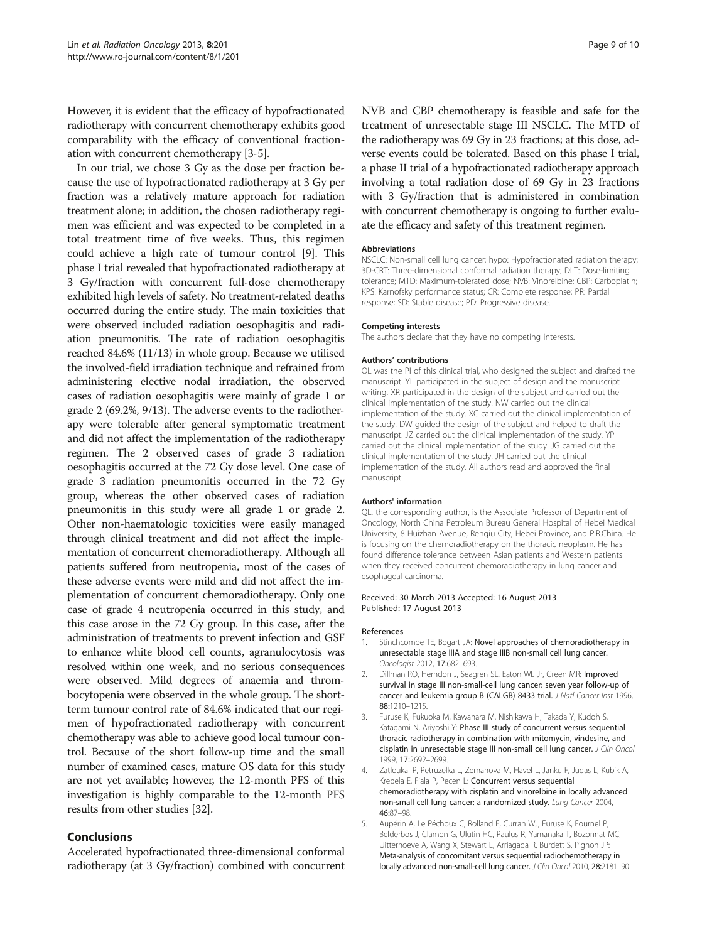<span id="page-8-0"></span>However, it is evident that the efficacy of hypofractionated radiotherapy with concurrent chemotherapy exhibits good comparability with the efficacy of conventional fractionation with concurrent chemotherapy [3-5].

In our trial, we chose 3 Gy as the dose per fraction because the use of hypofractionated radiotherapy at 3 Gy per fraction was a relatively mature approach for radiation treatment alone; in addition, the chosen radiotherapy regimen was efficient and was expected to be completed in a total treatment time of five weeks. Thus, this regimen could achieve a high rate of tumour control [\[9](#page-9-0)]. This phase I trial revealed that hypofractionated radiotherapy at 3 Gy/fraction with concurrent full-dose chemotherapy exhibited high levels of safety. No treatment-related deaths occurred during the entire study. The main toxicities that were observed included radiation oesophagitis and radiation pneumonitis. The rate of radiation oesophagitis reached 84.6% (11/13) in whole group. Because we utilised the involved-field irradiation technique and refrained from administering elective nodal irradiation, the observed cases of radiation oesophagitis were mainly of grade 1 or grade 2 (69.2%, 9/13). The adverse events to the radiotherapy were tolerable after general symptomatic treatment and did not affect the implementation of the radiotherapy regimen. The 2 observed cases of grade 3 radiation oesophagitis occurred at the 72 Gy dose level. One case of grade 3 radiation pneumonitis occurred in the 72 Gy group, whereas the other observed cases of radiation pneumonitis in this study were all grade 1 or grade 2. Other non-haematologic toxicities were easily managed through clinical treatment and did not affect the implementation of concurrent chemoradiotherapy. Although all patients suffered from neutropenia, most of the cases of these adverse events were mild and did not affect the implementation of concurrent chemoradiotherapy. Only one case of grade 4 neutropenia occurred in this study, and this case arose in the 72 Gy group. In this case, after the administration of treatments to prevent infection and GSF to enhance white blood cell counts, agranulocytosis was resolved within one week, and no serious consequences were observed. Mild degrees of anaemia and thrombocytopenia were observed in the whole group. The shortterm tumour control rate of 84.6% indicated that our regimen of hypofractionated radiotherapy with concurrent chemotherapy was able to achieve good local tumour control. Because of the short follow-up time and the small number of examined cases, mature OS data for this study are not yet available; however, the 12-month PFS of this investigation is highly comparable to the 12-month PFS results from other studies [[32](#page-9-0)].

# Conclusions

Accelerated hypofractionated three-dimensional conformal radiotherapy (at 3 Gy/fraction) combined with concurrent NVB and CBP chemotherapy is feasible and safe for the treatment of unresectable stage III NSCLC. The MTD of the radiotherapy was 69 Gy in 23 fractions; at this dose, adverse events could be tolerated. Based on this phase I trial, a phase II trial of a hypofractionated radiotherapy approach involving a total radiation dose of 69 Gy in 23 fractions with 3 Gy/fraction that is administered in combination with concurrent chemotherapy is ongoing to further evaluate the efficacy and safety of this treatment regimen.

#### Abbreviations

NSCLC: Non-small cell lung cancer; hypo: Hypofractionated radiation therapy; 3D-CRT: Three-dimensional conformal radiation therapy; DLT: Dose-limiting tolerance; MTD: Maximum-tolerated dose; NVB: Vinorelbine; CBP: Carboplatin; KPS: Karnofsky performance status; CR: Complete response; PR: Partial response; SD: Stable disease; PD: Progressive disease.

#### Competing interests

The authors declare that they have no competing interests.

#### Authors' contributions

QL was the PI of this clinical trial, who designed the subject and drafted the manuscript. YL participated in the subject of design and the manuscript writing. XR participated in the design of the subject and carried out the clinical implementation of the study. NW carried out the clinical implementation of the study. XC carried out the clinical implementation of the study. DW guided the design of the subject and helped to draft the manuscript. JZ carried out the clinical implementation of the study. YP carried out the clinical implementation of the study. JG carried out the clinical implementation of the study. JH carried out the clinical implementation of the study. All authors read and approved the final manuscript.

#### Authors' information

QL, the corresponding author, is the Associate Professor of Department of Oncology, North China Petroleum Bureau General Hospital of Hebei Medical University, 8 Huizhan Avenue, Renqiu City, Hebei Province, and P.R.China. He is focusing on the chemoradiotherapy on the thoracic neoplasm. He has found difference tolerance between Asian patients and Western patients when they received concurrent chemoradiotherapy in lung cancer and esophageal carcinoma.

#### Received: 30 March 2013 Accepted: 16 August 2013 Published: 17 August 2013

#### References

- 1. Stinchcombe TE, Bogart JA: Novel approaches of chemoradiotherapy in unresectable stage IIIA and stage IIIB non-small cell lung cancer. Oncologist 2012, 17:682–693.
- 2. Dillman RO, Herndon J, Seagren SL, Eaton WL Jr, Green MR: Improved survival in stage III non-small-cell lung cancer: seven year follow-up of cancer and leukemia group B (CALGB) 8433 trial. J Natl Cancer Inst 1996, 88:1210–1215.
- 3. Furuse K, Fukuoka M, Kawahara M, Nishikawa H, Takada Y, Kudoh S, Katagami N, Ariyoshi Y: Phase III study of concurrent versus sequential thoracic radiotherapy in combination with mitomycin, vindesine, and cisplatin in unresectable stage III non-small cell lung cancer. J Clin Oncol 1999, 17:2692–2699.
- 4. Zatloukal P, Petruzelka L, Zemanova M, Havel L, Janku F, Judas L, Kubik A, Krepela E, Fiala P, Pecen L: Concurrent versus sequential chemoradiotherapy with cisplatin and vinorelbine in locally advanced non-small cell lung cancer: a randomized study. Lung Cancer 2004, 46:87–98.
- 5. Aupérin A, Le Péchoux C, Rolland E, Curran WJ, Furuse K, Fournel P, Belderbos J, Clamon G, Ulutin HC, Paulus R, Yamanaka T, Bozonnat MC, Uitterhoeve A, Wang X, Stewart L, Arriagada R, Burdett S, Pignon JP: Meta-analysis of concomitant versus sequential radiochemotherapy in locally advanced non-small-cell lung cancer. J Clin Oncol 2010, 28:2181-90.